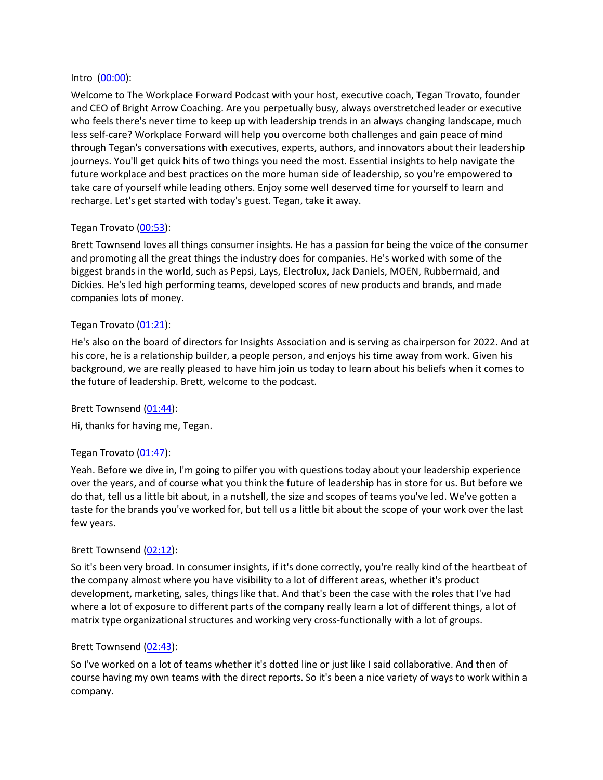#### Intro (00:00):

Welcome to The Workplace Forward Podcast with your host, executive coach, Tegan Trovato, founder and CEO of Bright Arrow Coaching. Are you perpetually busy, always overstretched leader or executive who feels there's never time to keep up with leadership trends in an always changing landscape, much less self-care? Workplace Forward will help you overcome both challenges and gain peace of mind through Tegan's conversations with executives, experts, authors, and innovators about their leadership journeys. You'll get quick hits of two things you need the most. Essential insights to help navigate the future workplace and best practices on the more human side of leadership, so you're empowered to take care of yourself while leading others. Enjoy some well deserved time for yourself to learn and recharge. Let's get started with today's guest. Tegan, take it away.

## Tegan Trovato (00:53):

Brett Townsend loves all things consumer insights. He has a passion for being the voice of the consumer and promoting all the great things the industry does for companies. He's worked with some of the biggest brands in the world, such as Pepsi, Lays, Electrolux, Jack Daniels, MOEN, Rubbermaid, and Dickies. He's led high performing teams, developed scores of new products and brands, and made companies lots of money.

### Tegan Trovato (01:21):

He's also on the board of directors for Insights Association and is serving as chairperson for 2022. And at his core, he is a relationship builder, a people person, and enjoys his time away from work. Given his background, we are really pleased to have him join us today to learn about his beliefs when it comes to the future of leadership. Brett, welcome to the podcast.

Brett Townsend (01:44):

Hi, thanks for having me, Tegan.

### Tegan Trovato (01:47):

Yeah. Before we dive in, I'm going to pilfer you with questions today about your leadership experience over the years, and of course what you think the future of leadership has in store for us. But before we do that, tell us a little bit about, in a nutshell, the size and scopes of teams you've led. We've gotten a taste for the brands you've worked for, but tell us a little bit about the scope of your work over the last few years.

### Brett Townsend (02:12):

So it's been very broad. In consumer insights, if it's done correctly, you're really kind of the heartbeat of the company almost where you have visibility to a lot of different areas, whether it's product development, marketing, sales, things like that. And that's been the case with the roles that I've had where a lot of exposure to different parts of the company really learn a lot of different things, a lot of matrix type organizational structures and working very cross-functionally with a lot of groups.

### Brett Townsend (02:43):

So I've worked on a lot of teams whether it's dotted line or just like I said collaborative. And then of course having my own teams with the direct reports. So it's been a nice variety of ways to work within a company.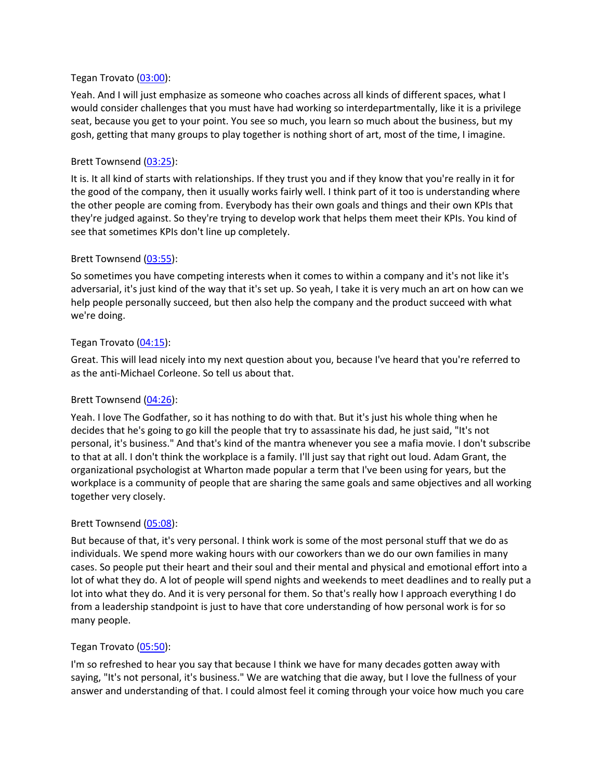#### Tegan Trovato (03:00):

Yeah. And I will just emphasize as someone who coaches across all kinds of different spaces, what I would consider challenges that you must have had working so interdepartmentally, like it is a privilege seat, because you get to your point. You see so much, you learn so much about the business, but my gosh, getting that many groups to play together is nothing short of art, most of the time, I imagine.

#### Brett Townsend (03:25):

It is. It all kind of starts with relationships. If they trust you and if they know that you're really in it for the good of the company, then it usually works fairly well. I think part of it too is understanding where the other people are coming from. Everybody has their own goals and things and their own KPIs that they're judged against. So they're trying to develop work that helps them meet their KPIs. You kind of see that sometimes KPIs don't line up completely.

#### Brett Townsend (03:55):

So sometimes you have competing interests when it comes to within a company and it's not like it's adversarial, it's just kind of the way that it's set up. So yeah, I take it is very much an art on how can we help people personally succeed, but then also help the company and the product succeed with what we're doing.

#### Tegan Trovato (04:15):

Great. This will lead nicely into my next question about you, because I've heard that you're referred to as the anti-Michael Corleone. So tell us about that.

### Brett Townsend (04:26):

Yeah. I love The Godfather, so it has nothing to do with that. But it's just his whole thing when he decides that he's going to go kill the people that try to assassinate his dad, he just said, "It's not personal, it's business." And that's kind of the mantra whenever you see a mafia movie. I don't subscribe to that at all. I don't think the workplace is a family. I'll just say that right out loud. Adam Grant, the organizational psychologist at Wharton made popular a term that I've been using for years, but the workplace is a community of people that are sharing the same goals and same objectives and all working together very closely.

### Brett Townsend (05:08):

But because of that, it's very personal. I think work is some of the most personal stuff that we do as individuals. We spend more waking hours with our coworkers than we do our own families in many cases. So people put their heart and their soul and their mental and physical and emotional effort into a lot of what they do. A lot of people will spend nights and weekends to meet deadlines and to really put a lot into what they do. And it is very personal for them. So that's really how I approach everything I do from a leadership standpoint is just to have that core understanding of how personal work is for so many people.

### Tegan Trovato (05:50):

I'm so refreshed to hear you say that because I think we have for many decades gotten away with saying, "It's not personal, it's business." We are watching that die away, but I love the fullness of your answer and understanding of that. I could almost feel it coming through your voice how much you care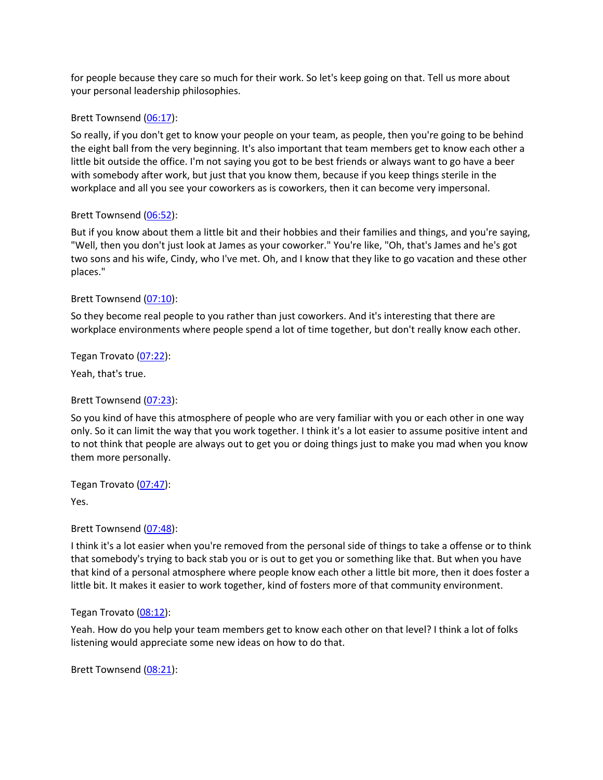for people because they care so much for their work. So let's keep going on that. Tell us more about your personal leadership philosophies.

#### Brett Townsend (06:17):

So really, if you don't get to know your people on your team, as people, then you're going to be behind the eight ball from the very beginning. It's also important that team members get to know each other a little bit outside the office. I'm not saying you got to be best friends or always want to go have a beer with somebody after work, but just that you know them, because if you keep things sterile in the workplace and all you see your coworkers as is coworkers, then it can become very impersonal.

#### Brett Townsend (06:52):

But if you know about them a little bit and their hobbies and their families and things, and you're saying, "Well, then you don't just look at James as your coworker." You're like, "Oh, that's James and he's got two sons and his wife, Cindy, who I've met. Oh, and I know that they like to go vacation and these other places."

### Brett Townsend (07:10):

So they become real people to you rather than just coworkers. And it's interesting that there are workplace environments where people spend a lot of time together, but don't really know each other.

## Tegan Trovato (07:22):

Yeah, that's true.

### Brett Townsend (07:23):

So you kind of have this atmosphere of people who are very familiar with you or each other in one way only. So it can limit the way that you work together. I think it's a lot easier to assume positive intent and to not think that people are always out to get you or doing things just to make you mad when you know them more personally.

Tegan Trovato (07:47):

Yes.

Brett Townsend (07:48):

I think it's a lot easier when you're removed from the personal side of things to take a offense or to think that somebody's trying to back stab you or is out to get you or something like that. But when you have that kind of a personal atmosphere where people know each other a little bit more, then it does foster a little bit. It makes it easier to work together, kind of fosters more of that community environment.

#### Tegan Trovato (08:12):

Yeah. How do you help your team members get to know each other on that level? I think a lot of folks listening would appreciate some new ideas on how to do that.

Brett Townsend (08:21):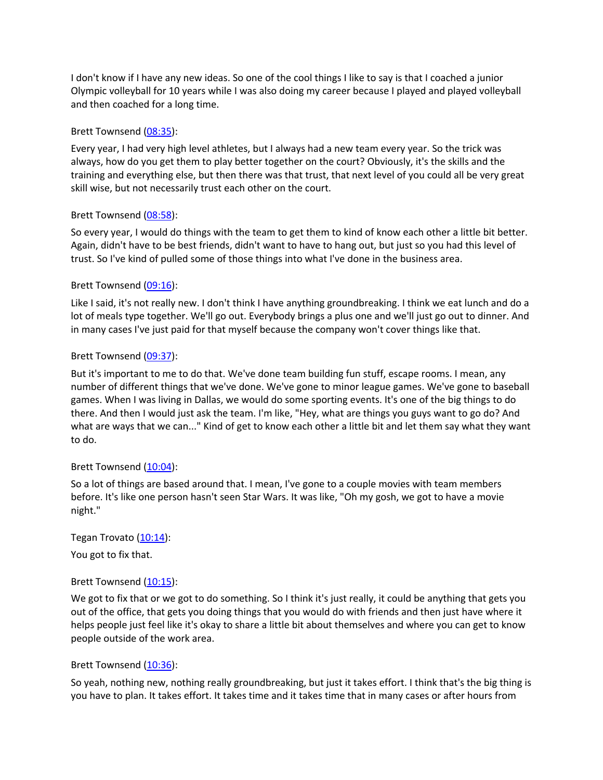I don't know if I have any new ideas. So one of the cool things I like to say is that I coached a junior Olympic volleyball for 10 years while I was also doing my career because I played and played volleyball and then coached for a long time.

### Brett Townsend (08:35):

Every year, I had very high level athletes, but I always had a new team every year. So the trick was always, how do you get them to play better together on the court? Obviously, it's the skills and the training and everything else, but then there was that trust, that next level of you could all be very great skill wise, but not necessarily trust each other on the court.

### Brett Townsend (08:58):

So every year, I would do things with the team to get them to kind of know each other a little bit better. Again, didn't have to be best friends, didn't want to have to hang out, but just so you had this level of trust. So I've kind of pulled some of those things into what I've done in the business area.

## Brett Townsend (09:16):

Like I said, it's not really new. I don't think I have anything groundbreaking. I think we eat lunch and do a lot of meals type together. We'll go out. Everybody brings a plus one and we'll just go out to dinner. And in many cases I've just paid for that myself because the company won't cover things like that.

### Brett Townsend (09:37):

But it's important to me to do that. We've done team building fun stuff, escape rooms. I mean, any number of different things that we've done. We've gone to minor league games. We've gone to baseball games. When I was living in Dallas, we would do some sporting events. It's one of the big things to do there. And then I would just ask the team. I'm like, "Hey, what are things you guys want to go do? And what are ways that we can..." Kind of get to know each other a little bit and let them say what they want to do.

### Brett Townsend (10:04):

So a lot of things are based around that. I mean, I've gone to a couple movies with team members before. It's like one person hasn't seen Star Wars. It was like, "Oh my gosh, we got to have a movie night."

### Tegan Trovato (10:14):

You got to fix that.

### Brett Townsend (10:15):

We got to fix that or we got to do something. So I think it's just really, it could be anything that gets you out of the office, that gets you doing things that you would do with friends and then just have where it helps people just feel like it's okay to share a little bit about themselves and where you can get to know people outside of the work area.

### Brett Townsend (10:36):

So yeah, nothing new, nothing really groundbreaking, but just it takes effort. I think that's the big thing is you have to plan. It takes effort. It takes time and it takes time that in many cases or after hours from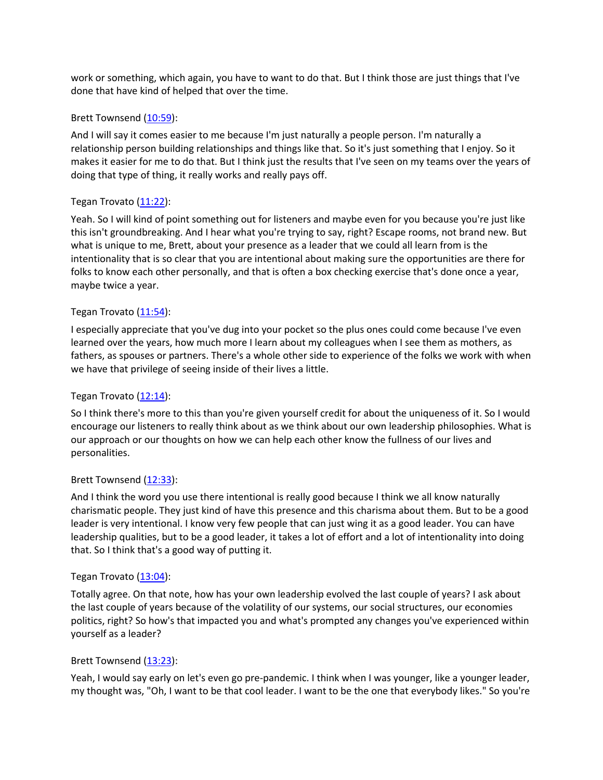work or something, which again, you have to want to do that. But I think those are just things that I've done that have kind of helped that over the time.

### Brett Townsend (10:59):

And I will say it comes easier to me because I'm just naturally a people person. I'm naturally a relationship person building relationships and things like that. So it's just something that I enjoy. So it makes it easier for me to do that. But I think just the results that I've seen on my teams over the years of doing that type of thing, it really works and really pays off.

## Tegan Trovato (11:22):

Yeah. So I will kind of point something out for listeners and maybe even for you because you're just like this isn't groundbreaking. And I hear what you're trying to say, right? Escape rooms, not brand new. But what is unique to me, Brett, about your presence as a leader that we could all learn from is the intentionality that is so clear that you are intentional about making sure the opportunities are there for folks to know each other personally, and that is often a box checking exercise that's done once a year, maybe twice a year.

## Tegan Trovato (11:54):

I especially appreciate that you've dug into your pocket so the plus ones could come because I've even learned over the years, how much more I learn about my colleagues when I see them as mothers, as fathers, as spouses or partners. There's a whole other side to experience of the folks we work with when we have that privilege of seeing inside of their lives a little.

### Tegan Trovato  $(12:14)$ :

So I think there's more to this than you're given yourself credit for about the uniqueness of it. So I would encourage our listeners to really think about as we think about our own leadership philosophies. What is our approach or our thoughts on how we can help each other know the fullness of our lives and personalities.

### Brett Townsend (12:33):

And I think the word you use there intentional is really good because I think we all know naturally charismatic people. They just kind of have this presence and this charisma about them. But to be a good leader is very intentional. I know very few people that can just wing it as a good leader. You can have leadership qualities, but to be a good leader, it takes a lot of effort and a lot of intentionality into doing that. So I think that's a good way of putting it.

### Tegan Trovato (13:04):

Totally agree. On that note, how has your own leadership evolved the last couple of years? I ask about the last couple of years because of the volatility of our systems, our social structures, our economies politics, right? So how's that impacted you and what's prompted any changes you've experienced within yourself as a leader?

### Brett Townsend (13:23):

Yeah, I would say early on let's even go pre-pandemic. I think when I was younger, like a younger leader, my thought was, "Oh, I want to be that cool leader. I want to be the one that everybody likes." So you're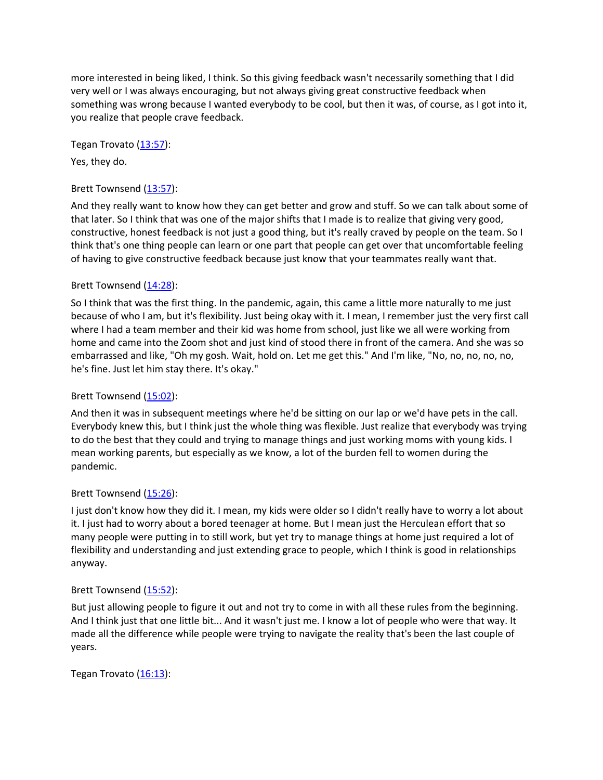more interested in being liked, I think. So this giving feedback wasn't necessarily something that I did very well or I was always encouraging, but not always giving great constructive feedback when something was wrong because I wanted everybody to be cool, but then it was, of course, as I got into it, you realize that people crave feedback.

Tegan Trovato (13:57):

Yes, they do.

## Brett Townsend (13:57):

And they really want to know how they can get better and grow and stuff. So we can talk about some of that later. So I think that was one of the major shifts that I made is to realize that giving very good, constructive, honest feedback is not just a good thing, but it's really craved by people on the team. So I think that's one thing people can learn or one part that people can get over that uncomfortable feeling of having to give constructive feedback because just know that your teammates really want that.

## Brett Townsend (14:28):

So I think that was the first thing. In the pandemic, again, this came a little more naturally to me just because of who I am, but it's flexibility. Just being okay with it. I mean, I remember just the very first call where I had a team member and their kid was home from school, just like we all were working from home and came into the Zoom shot and just kind of stood there in front of the camera. And she was so embarrassed and like, "Oh my gosh. Wait, hold on. Let me get this." And I'm like, "No, no, no, no, no, he's fine. Just let him stay there. It's okay."

## Brett Townsend (15:02):

And then it was in subsequent meetings where he'd be sitting on our lap or we'd have pets in the call. Everybody knew this, but I think just the whole thing was flexible. Just realize that everybody was trying to do the best that they could and trying to manage things and just working moms with young kids. I mean working parents, but especially as we know, a lot of the burden fell to women during the pandemic.

# Brett Townsend (15:26):

I just don't know how they did it. I mean, my kids were older so I didn't really have to worry a lot about it. I just had to worry about a bored teenager at home. But I mean just the Herculean effort that so many people were putting in to still work, but yet try to manage things at home just required a lot of flexibility and understanding and just extending grace to people, which I think is good in relationships anyway.

### Brett Townsend (15:52):

But just allowing people to figure it out and not try to come in with all these rules from the beginning. And I think just that one little bit... And it wasn't just me. I know a lot of people who were that way. It made all the difference while people were trying to navigate the reality that's been the last couple of years.

Tegan Trovato  $(16:13)$ :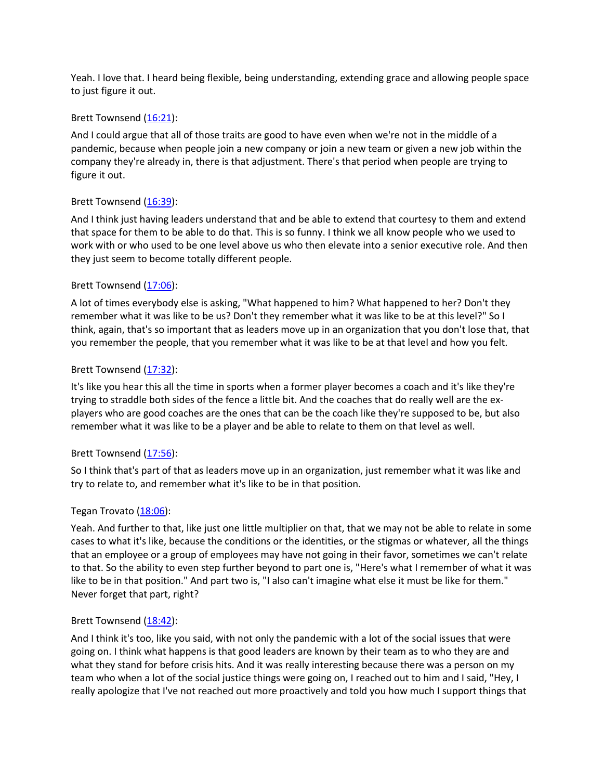Yeah. I love that. I heard being flexible, being understanding, extending grace and allowing people space to just figure it out.

#### Brett Townsend (16:21):

And I could argue that all of those traits are good to have even when we're not in the middle of a pandemic, because when people join a new company or join a new team or given a new job within the company they're already in, there is that adjustment. There's that period when people are trying to figure it out.

### Brett Townsend (16:39):

And I think just having leaders understand that and be able to extend that courtesy to them and extend that space for them to be able to do that. This is so funny. I think we all know people who we used to work with or who used to be one level above us who then elevate into a senior executive role. And then they just seem to become totally different people.

#### Brett Townsend (17:06):

A lot of times everybody else is asking, "What happened to him? What happened to her? Don't they remember what it was like to be us? Don't they remember what it was like to be at this level?" So I think, again, that's so important that as leaders move up in an organization that you don't lose that, that you remember the people, that you remember what it was like to be at that level and how you felt.

#### Brett Townsend (17:32):

It's like you hear this all the time in sports when a former player becomes a coach and it's like they're trying to straddle both sides of the fence a little bit. And the coaches that do really well are the explayers who are good coaches are the ones that can be the coach like they're supposed to be, but also remember what it was like to be a player and be able to relate to them on that level as well.

### Brett Townsend (17:56):

So I think that's part of that as leaders move up in an organization, just remember what it was like and try to relate to, and remember what it's like to be in that position.

### Tegan Trovato (18:06):

Yeah. And further to that, like just one little multiplier on that, that we may not be able to relate in some cases to what it's like, because the conditions or the identities, or the stigmas or whatever, all the things that an employee or a group of employees may have not going in their favor, sometimes we can't relate to that. So the ability to even step further beyond to part one is, "Here's what I remember of what it was like to be in that position." And part two is, "I also can't imagine what else it must be like for them." Never forget that part, right?

### Brett Townsend (18:42):

And I think it's too, like you said, with not only the pandemic with a lot of the social issues that were going on. I think what happens is that good leaders are known by their team as to who they are and what they stand for before crisis hits. And it was really interesting because there was a person on my team who when a lot of the social justice things were going on, I reached out to him and I said, "Hey, I really apologize that I've not reached out more proactively and told you how much I support things that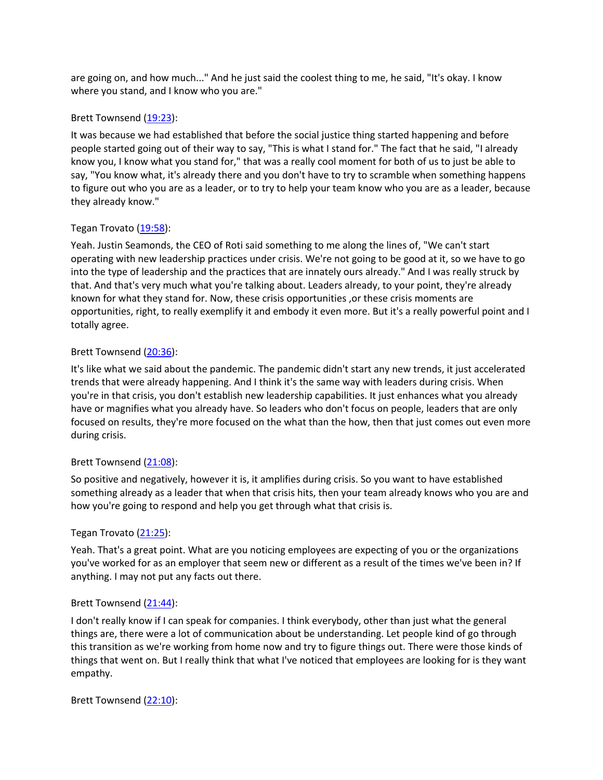are going on, and how much..." And he just said the coolest thing to me, he said, "It's okay. I know where you stand, and I know who you are."

### Brett Townsend (19:23):

It was because we had established that before the social justice thing started happening and before people started going out of their way to say, "This is what I stand for." The fact that he said, "I already know you, I know what you stand for," that was a really cool moment for both of us to just be able to say, "You know what, it's already there and you don't have to try to scramble when something happens to figure out who you are as a leader, or to try to help your team know who you are as a leader, because they already know."

## Tegan Trovato (19:58):

Yeah. Justin Seamonds, the CEO of Roti said something to me along the lines of, "We can't start operating with new leadership practices under crisis. We're not going to be good at it, so we have to go into the type of leadership and the practices that are innately ours already." And I was really struck by that. And that's very much what you're talking about. Leaders already, to your point, they're already known for what they stand for. Now, these crisis opportunities ,or these crisis moments are opportunities, right, to really exemplify it and embody it even more. But it's a really powerful point and I totally agree.

## Brett Townsend (20:36):

It's like what we said about the pandemic. The pandemic didn't start any new trends, it just accelerated trends that were already happening. And I think it's the same way with leaders during crisis. When you're in that crisis, you don't establish new leadership capabilities. It just enhances what you already have or magnifies what you already have. So leaders who don't focus on people, leaders that are only focused on results, they're more focused on the what than the how, then that just comes out even more during crisis.

### Brett Townsend (21:08):

So positive and negatively, however it is, it amplifies during crisis. So you want to have established something already as a leader that when that crisis hits, then your team already knows who you are and how you're going to respond and help you get through what that crisis is.

### Tegan Trovato (21:25):

Yeah. That's a great point. What are you noticing employees are expecting of you or the organizations you've worked for as an employer that seem new or different as a result of the times we've been in? If anything. I may not put any facts out there.

### Brett Townsend (21:44):

I don't really know if I can speak for companies. I think everybody, other than just what the general things are, there were a lot of communication about be understanding. Let people kind of go through this transition as we're working from home now and try to figure things out. There were those kinds of things that went on. But I really think that what I've noticed that employees are looking for is they want empathy.

Brett Townsend (22:10):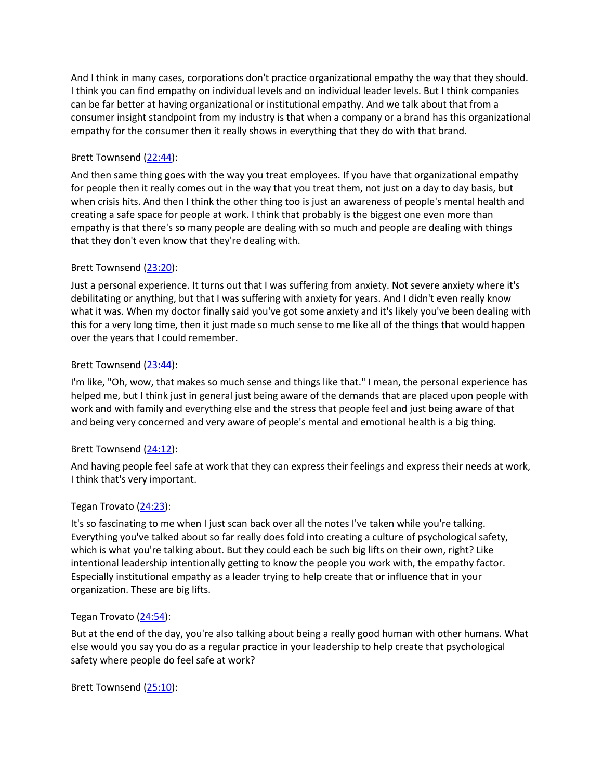And I think in many cases, corporations don't practice organizational empathy the way that they should. I think you can find empathy on individual levels and on individual leader levels. But I think companies can be far better at having organizational or institutional empathy. And we talk about that from a consumer insight standpoint from my industry is that when a company or a brand has this organizational empathy for the consumer then it really shows in everything that they do with that brand.

## Brett Townsend (22:44):

And then same thing goes with the way you treat employees. If you have that organizational empathy for people then it really comes out in the way that you treat them, not just on a day to day basis, but when crisis hits. And then I think the other thing too is just an awareness of people's mental health and creating a safe space for people at work. I think that probably is the biggest one even more than empathy is that there's so many people are dealing with so much and people are dealing with things that they don't even know that they're dealing with.

## Brett Townsend (23:20):

Just a personal experience. It turns out that I was suffering from anxiety. Not severe anxiety where it's debilitating or anything, but that I was suffering with anxiety for years. And I didn't even really know what it was. When my doctor finally said you've got some anxiety and it's likely you've been dealing with this for a very long time, then it just made so much sense to me like all of the things that would happen over the years that I could remember.

## Brett Townsend (23:44):

I'm like, "Oh, wow, that makes so much sense and things like that." I mean, the personal experience has helped me, but I think just in general just being aware of the demands that are placed upon people with work and with family and everything else and the stress that people feel and just being aware of that and being very concerned and very aware of people's mental and emotional health is a big thing.

### Brett Townsend (24:12):

And having people feel safe at work that they can express their feelings and express their needs at work, I think that's very important.

### Tegan Trovato (24:23):

It's so fascinating to me when I just scan back over all the notes I've taken while you're talking. Everything you've talked about so far really does fold into creating a culture of psychological safety, which is what you're talking about. But they could each be such big lifts on their own, right? Like intentional leadership intentionally getting to know the people you work with, the empathy factor. Especially institutional empathy as a leader trying to help create that or influence that in your organization. These are big lifts.

### Tegan Trovato (24:54):

But at the end of the day, you're also talking about being a really good human with other humans. What else would you say you do as a regular practice in your leadership to help create that psychological safety where people do feel safe at work?

Brett Townsend (25:10):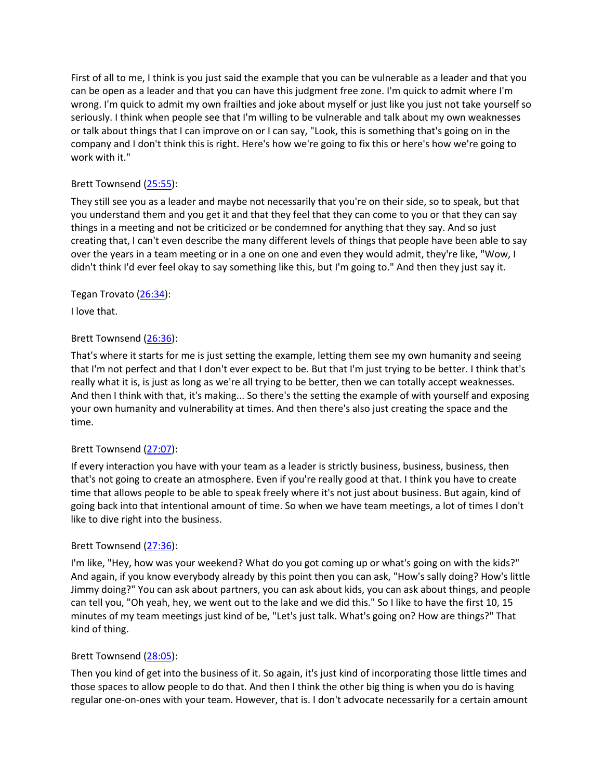First of all to me, I think is you just said the example that you can be vulnerable as a leader and that you can be open as a leader and that you can have this judgment free zone. I'm quick to admit where I'm wrong. I'm quick to admit my own frailties and joke about myself or just like you just not take yourself so seriously. I think when people see that I'm willing to be vulnerable and talk about my own weaknesses or talk about things that I can improve on or I can say, "Look, this is something that's going on in the company and I don't think this is right. Here's how we're going to fix this or here's how we're going to work with it."

# Brett Townsend (25:55):

They still see you as a leader and maybe not necessarily that you're on their side, so to speak, but that you understand them and you get it and that they feel that they can come to you or that they can say things in a meeting and not be criticized or be condemned for anything that they say. And so just creating that, I can't even describe the many different levels of things that people have been able to say over the years in a team meeting or in a one on one and even they would admit, they're like, "Wow, I didn't think I'd ever feel okay to say something like this, but I'm going to." And then they just say it.

## Tegan Trovato (26:34):

I love that.

## Brett Townsend (26:36):

That's where it starts for me is just setting the example, letting them see my own humanity and seeing that I'm not perfect and that I don't ever expect to be. But that I'm just trying to be better. I think that's really what it is, is just as long as we're all trying to be better, then we can totally accept weaknesses. And then I think with that, it's making... So there's the setting the example of with yourself and exposing your own humanity and vulnerability at times. And then there's also just creating the space and the time.

### Brett Townsend (27:07):

If every interaction you have with your team as a leader is strictly business, business, business, then that's not going to create an atmosphere. Even if you're really good at that. I think you have to create time that allows people to be able to speak freely where it's not just about business. But again, kind of going back into that intentional amount of time. So when we have team meetings, a lot of times I don't like to dive right into the business.

### Brett Townsend (27:36):

I'm like, "Hey, how was your weekend? What do you got coming up or what's going on with the kids?" And again, if you know everybody already by this point then you can ask, "How's sally doing? How's little Jimmy doing?" You can ask about partners, you can ask about kids, you can ask about things, and people can tell you, "Oh yeah, hey, we went out to the lake and we did this." So I like to have the first 10, 15 minutes of my team meetings just kind of be, "Let's just talk. What's going on? How are things?" That kind of thing.

# Brett Townsend (28:05):

Then you kind of get into the business of it. So again, it's just kind of incorporating those little times and those spaces to allow people to do that. And then I think the other big thing is when you do is having regular one-on-ones with your team. However, that is. I don't advocate necessarily for a certain amount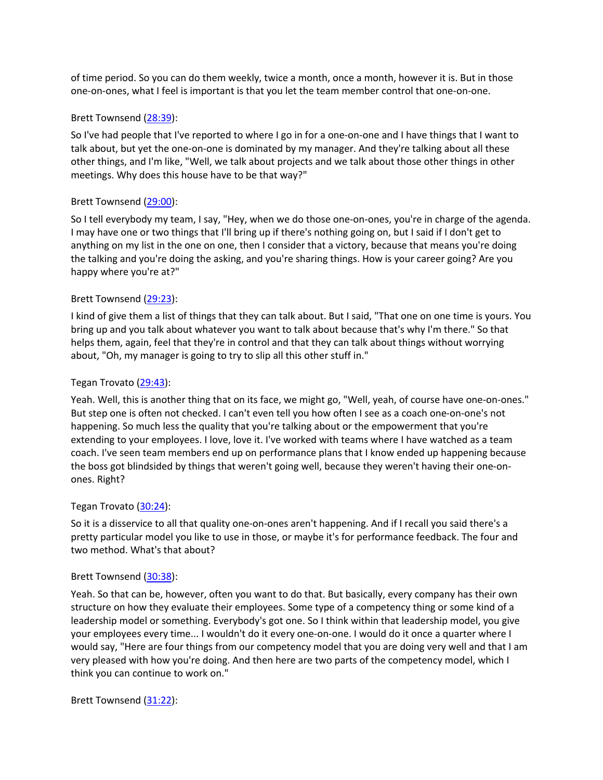of time period. So you can do them weekly, twice a month, once a month, however it is. But in those one-on-ones, what I feel is important is that you let the team member control that one-on-one.

### Brett Townsend (28:39):

So I've had people that I've reported to where I go in for a one-on-one and I have things that I want to talk about, but yet the one-on-one is dominated by my manager. And they're talking about all these other things, and I'm like, "Well, we talk about projects and we talk about those other things in other meetings. Why does this house have to be that way?"

## Brett Townsend (29:00):

So I tell everybody my team, I say, "Hey, when we do those one-on-ones, you're in charge of the agenda. I may have one or two things that I'll bring up if there's nothing going on, but I said if I don't get to anything on my list in the one on one, then I consider that a victory, because that means you're doing the talking and you're doing the asking, and you're sharing things. How is your career going? Are you happy where you're at?"

## Brett Townsend (29:23):

I kind of give them a list of things that they can talk about. But I said, "That one on one time is yours. You bring up and you talk about whatever you want to talk about because that's why I'm there." So that helps them, again, feel that they're in control and that they can talk about things without worrying about, "Oh, my manager is going to try to slip all this other stuff in."

### Tegan Trovato (29:43):

Yeah. Well, this is another thing that on its face, we might go, "Well, yeah, of course have one-on-ones." But step one is often not checked. I can't even tell you how often I see as a coach one-on-one's not happening. So much less the quality that you're talking about or the empowerment that you're extending to your employees. I love, love it. I've worked with teams where I have watched as a team coach. I've seen team members end up on performance plans that I know ended up happening because the boss got blindsided by things that weren't going well, because they weren't having their one-onones. Right?

### Tegan Trovato (30:24):

So it is a disservice to all that quality one-on-ones aren't happening. And if I recall you said there's a pretty particular model you like to use in those, or maybe it's for performance feedback. The four and two method. What's that about?

### Brett Townsend (30:38):

Yeah. So that can be, however, often you want to do that. But basically, every company has their own structure on how they evaluate their employees. Some type of a competency thing or some kind of a leadership model or something. Everybody's got one. So I think within that leadership model, you give your employees every time... I wouldn't do it every one-on-one. I would do it once a quarter where I would say, "Here are four things from our competency model that you are doing very well and that I am very pleased with how you're doing. And then here are two parts of the competency model, which I think you can continue to work on."

Brett Townsend (31:22):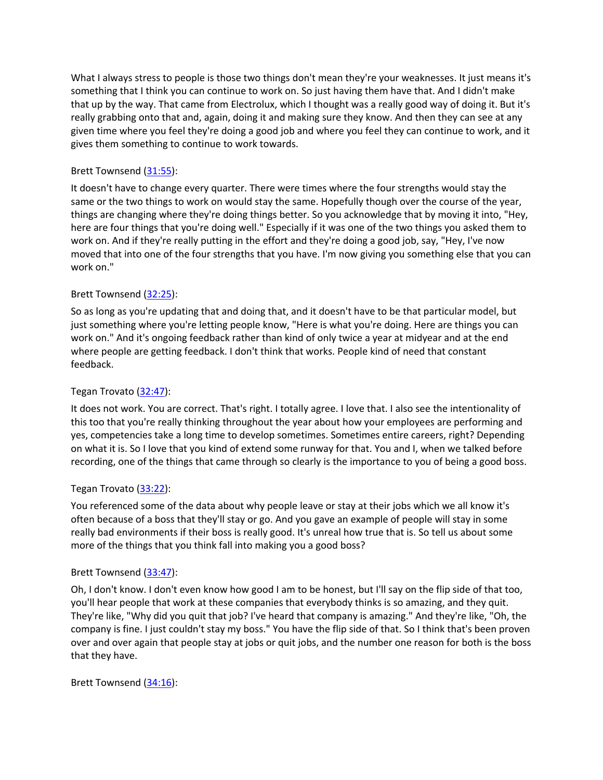What I always stress to people is those two things don't mean they're your weaknesses. It just means it's something that I think you can continue to work on. So just having them have that. And I didn't make that up by the way. That came from Electrolux, which I thought was a really good way of doing it. But it's really grabbing onto that and, again, doing it and making sure they know. And then they can see at any given time where you feel they're doing a good job and where you feel they can continue to work, and it gives them something to continue to work towards.

## Brett Townsend (31:55):

It doesn't have to change every quarter. There were times where the four strengths would stay the same or the two things to work on would stay the same. Hopefully though over the course of the year, things are changing where they're doing things better. So you acknowledge that by moving it into, "Hey, here are four things that you're doing well." Especially if it was one of the two things you asked them to work on. And if they're really putting in the effort and they're doing a good job, say, "Hey, I've now moved that into one of the four strengths that you have. I'm now giving you something else that you can work on."

## Brett Townsend (32:25):

So as long as you're updating that and doing that, and it doesn't have to be that particular model, but just something where you're letting people know, "Here is what you're doing. Here are things you can work on." And it's ongoing feedback rather than kind of only twice a year at midyear and at the end where people are getting feedback. I don't think that works. People kind of need that constant feedback.

## Tegan Trovato (32:47):

It does not work. You are correct. That's right. I totally agree. I love that. I also see the intentionality of this too that you're really thinking throughout the year about how your employees are performing and yes, competencies take a long time to develop sometimes. Sometimes entire careers, right? Depending on what it is. So I love that you kind of extend some runway for that. You and I, when we talked before recording, one of the things that came through so clearly is the importance to you of being a good boss.

### Tegan Trovato (33:22):

You referenced some of the data about why people leave or stay at their jobs which we all know it's often because of a boss that they'll stay or go. And you gave an example of people will stay in some really bad environments if their boss is really good. It's unreal how true that is. So tell us about some more of the things that you think fall into making you a good boss?

### Brett Townsend (33:47):

Oh, I don't know. I don't even know how good I am to be honest, but I'll say on the flip side of that too, you'll hear people that work at these companies that everybody thinks is so amazing, and they quit. They're like, "Why did you quit that job? I've heard that company is amazing." And they're like, "Oh, the company is fine. I just couldn't stay my boss." You have the flip side of that. So I think that's been proven over and over again that people stay at jobs or quit jobs, and the number one reason for both is the boss that they have.

### Brett Townsend (34:16):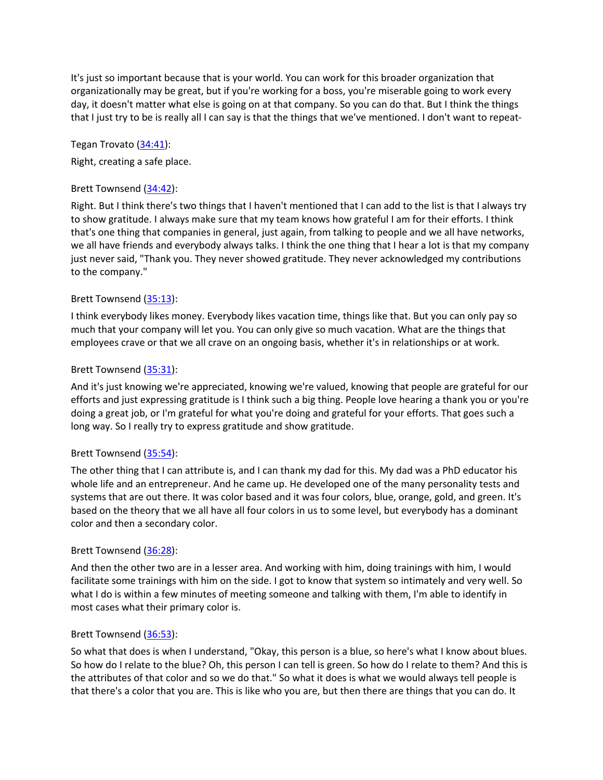It's just so important because that is your world. You can work for this broader organization that organizationally may be great, but if you're working for a boss, you're miserable going to work every day, it doesn't matter what else is going on at that company. So you can do that. But I think the things that I just try to be is really all I can say is that the things that we've mentioned. I don't want to repeat-

Tegan Trovato (34:41):

Right, creating a safe place.

#### Brett Townsend (34:42):

Right. But I think there's two things that I haven't mentioned that I can add to the list is that I always try to show gratitude. I always make sure that my team knows how grateful I am for their efforts. I think that's one thing that companies in general, just again, from talking to people and we all have networks, we all have friends and everybody always talks. I think the one thing that I hear a lot is that my company just never said, "Thank you. They never showed gratitude. They never acknowledged my contributions to the company."

### Brett Townsend (35:13):

I think everybody likes money. Everybody likes vacation time, things like that. But you can only pay so much that your company will let you. You can only give so much vacation. What are the things that employees crave or that we all crave on an ongoing basis, whether it's in relationships or at work.

#### Brett Townsend (35:31):

And it's just knowing we're appreciated, knowing we're valued, knowing that people are grateful for our efforts and just expressing gratitude is I think such a big thing. People love hearing a thank you or you're doing a great job, or I'm grateful for what you're doing and grateful for your efforts. That goes such a long way. So I really try to express gratitude and show gratitude.

#### Brett Townsend (35:54):

The other thing that I can attribute is, and I can thank my dad for this. My dad was a PhD educator his whole life and an entrepreneur. And he came up. He developed one of the many personality tests and systems that are out there. It was color based and it was four colors, blue, orange, gold, and green. It's based on the theory that we all have all four colors in us to some level, but everybody has a dominant color and then a secondary color.

#### Brett Townsend (36:28):

And then the other two are in a lesser area. And working with him, doing trainings with him, I would facilitate some trainings with him on the side. I got to know that system so intimately and very well. So what I do is within a few minutes of meeting someone and talking with them, I'm able to identify in most cases what their primary color is.

#### Brett Townsend (36:53):

So what that does is when I understand, "Okay, this person is a blue, so here's what I know about blues. So how do I relate to the blue? Oh, this person I can tell is green. So how do I relate to them? And this is the attributes of that color and so we do that." So what it does is what we would always tell people is that there's a color that you are. This is like who you are, but then there are things that you can do. It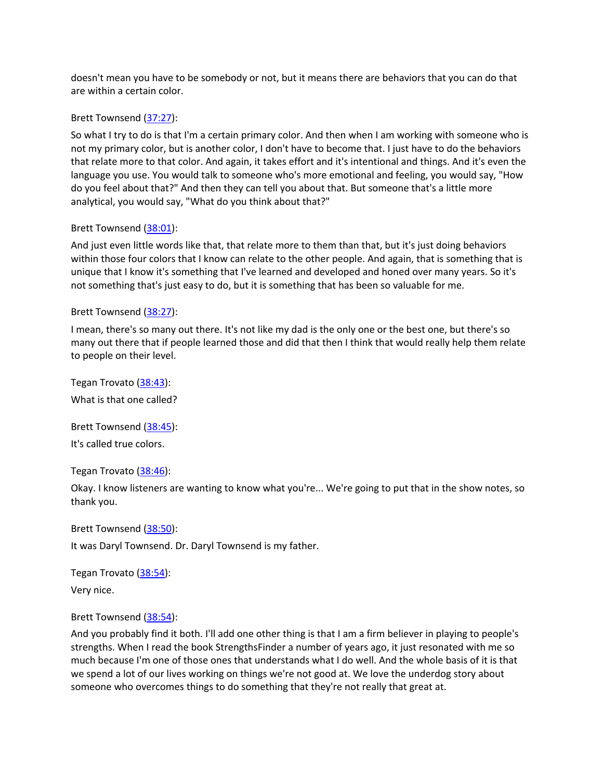doesn't mean you have to be somebody or not, but it means there are behaviors that you can do that are within a certain color.

#### Brett Townsend (37:27):

So what I try to do is that I'm a certain primary color. And then when I am working with someone who is not my primary color, but is another color, I don't have to become that. I just have to do the behaviors that relate more to that color. And again, it takes effort and it's intentional and things. And it's even the language you use. You would talk to someone who's more emotional and feeling, you would say, "How do you feel about that?" And then they can tell you about that. But someone that's a little more analytical, you would say, "What do you think about that?"

#### Brett Townsend (38:01):

And just even little words like that, that relate more to them than that, but it's just doing behaviors within those four colors that I know can relate to the other people. And again, that is something that is unique that I know it's something that I've learned and developed and honed over many years. So it's not something that's just easy to do, but it is something that has been so valuable for me.

#### Brett Townsend (38:27):

I mean, there's so many out there. It's not like my dad is the only one or the best one, but there's so many out there that if people learned those and did that then I think that would really help them relate to people on their level.

Tegan Trovato (38:43): What is that one called?

Brett Townsend (38:45): It's called true colors.

Tegan Trovato (38:46):

Okay. I know listeners are wanting to know what you're... We're going to put that in the show notes, so thank you.

Brett Townsend (38:50):

It was Daryl Townsend. Dr. Daryl Townsend is my father.

Tegan Trovato (38:54):

Very nice.

#### Brett Townsend (38:54):

And you probably find it both. I'll add one other thing is that I am a firm believer in playing to people's strengths. When I read the book StrengthsFinder a number of years ago, it just resonated with me so much because I'm one of those ones that understands what I do well. And the whole basis of it is that we spend a lot of our lives working on things we're not good at. We love the underdog story about someone who overcomes things to do something that they're not really that great at.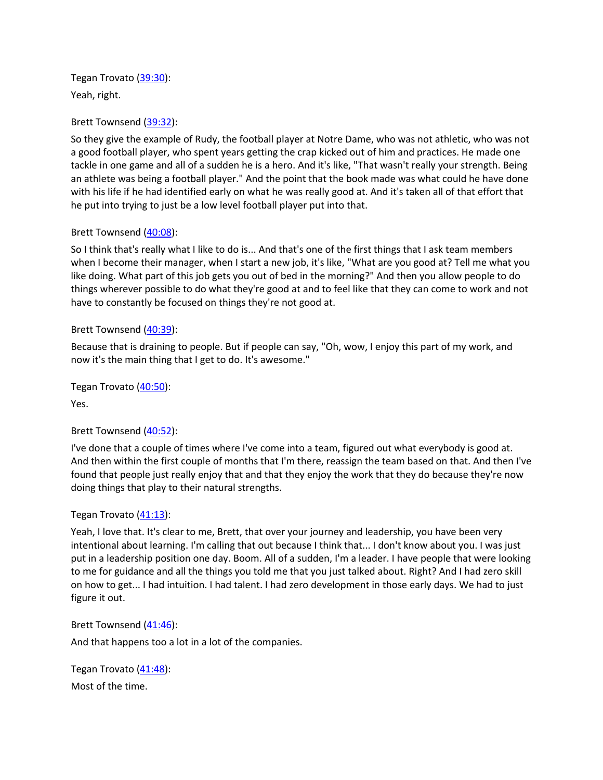Tegan Trovato (39:30): Yeah, right.

Brett Townsend (39:32):

So they give the example of Rudy, the football player at Notre Dame, who was not athletic, who was not a good football player, who spent years getting the crap kicked out of him and practices. He made one tackle in one game and all of a sudden he is a hero. And it's like, "That wasn't really your strength. Being an athlete was being a football player." And the point that the book made was what could he have done with his life if he had identified early on what he was really good at. And it's taken all of that effort that he put into trying to just be a low level football player put into that.

## Brett Townsend (40:08):

So I think that's really what I like to do is... And that's one of the first things that I ask team members when I become their manager, when I start a new job, it's like, "What are you good at? Tell me what you like doing. What part of this job gets you out of bed in the morning?" And then you allow people to do things wherever possible to do what they're good at and to feel like that they can come to work and not have to constantly be focused on things they're not good at.

## Brett Townsend (40:39):

Because that is draining to people. But if people can say, "Oh, wow, I enjoy this part of my work, and now it's the main thing that I get to do. It's awesome."

Tegan Trovato (40:50):

Yes.

### Brett Townsend (40:52):

I've done that a couple of times where I've come into a team, figured out what everybody is good at. And then within the first couple of months that I'm there, reassign the team based on that. And then I've found that people just really enjoy that and that they enjoy the work that they do because they're now doing things that play to their natural strengths.

### Tegan Trovato (41:13):

Yeah, I love that. It's clear to me, Brett, that over your journey and leadership, you have been very intentional about learning. I'm calling that out because I think that... I don't know about you. I was just put in a leadership position one day. Boom. All of a sudden, I'm a leader. I have people that were looking to me for guidance and all the things you told me that you just talked about. Right? And I had zero skill on how to get... I had intuition. I had talent. I had zero development in those early days. We had to just figure it out.

### Brett Townsend (41:46):

And that happens too a lot in a lot of the companies.

Tegan Trovato (41:48): Most of the time.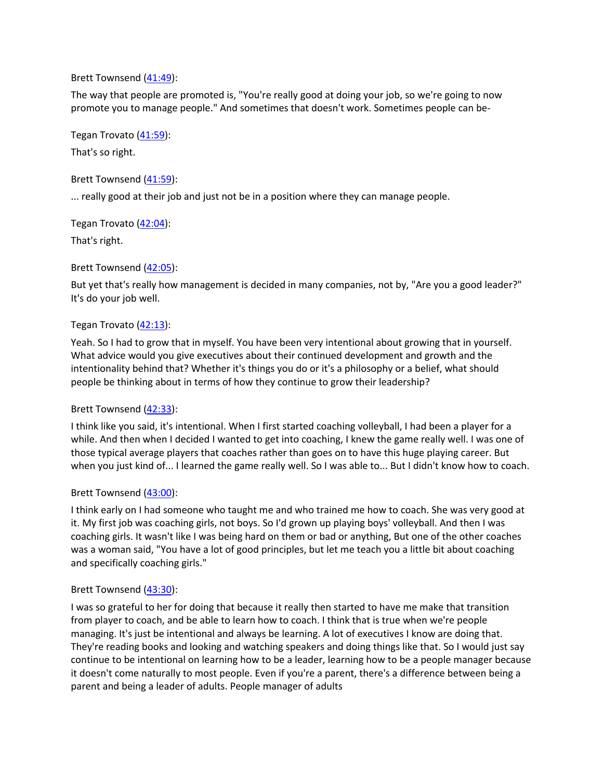#### Brett Townsend (41:49):

The way that people are promoted is, "You're really good at doing your job, so we're going to now promote you to manage people." And sometimes that doesn't work. Sometimes people can be-

Tegan Trovato (41:59):

That's so right.

Brett Townsend (41:59):

... really good at their job and just not be in a position where they can manage people.

Tegan Trovato (42:04):

That's right.

Brett Townsend (42:05):

But yet that's really how management is decided in many companies, not by, "Are you a good leader?" It's do your job well.

# Tegan Trovato  $(42:13)$ :

Yeah. So I had to grow that in myself. You have been very intentional about growing that in yourself. What advice would you give executives about their continued development and growth and the intentionality behind that? Whether it's things you do or it's a philosophy or a belief, what should people be thinking about in terms of how they continue to grow their leadership?

# Brett Townsend (42:33):

I think like you said, it's intentional. When I first started coaching volleyball, I had been a player for a while. And then when I decided I wanted to get into coaching, I knew the game really well. I was one of those typical average players that coaches rather than goes on to have this huge playing career. But when you just kind of... I learned the game really well. So I was able to... But I didn't know how to coach.

# Brett Townsend (43:00):

I think early on I had someone who taught me and who trained me how to coach. She was very good at it. My first job was coaching girls, not boys. So I'd grown up playing boys' volleyball. And then I was coaching girls. It wasn't like I was being hard on them or bad or anything, But one of the other coaches was a woman said, "You have a lot of good principles, but let me teach you a little bit about coaching and specifically coaching girls."

# Brett Townsend (43:30):

I was so grateful to her for doing that because it really then started to have me make that transition from player to coach, and be able to learn how to coach. I think that is true when we're people managing. It's just be intentional and always be learning. A lot of executives I know are doing that. They're reading books and looking and watching speakers and doing things like that. So I would just say continue to be intentional on learning how to be a leader, learning how to be a people manager because it doesn't come naturally to most people. Even if you're a parent, there's a difference between being a parent and being a leader of adults. People manager of adults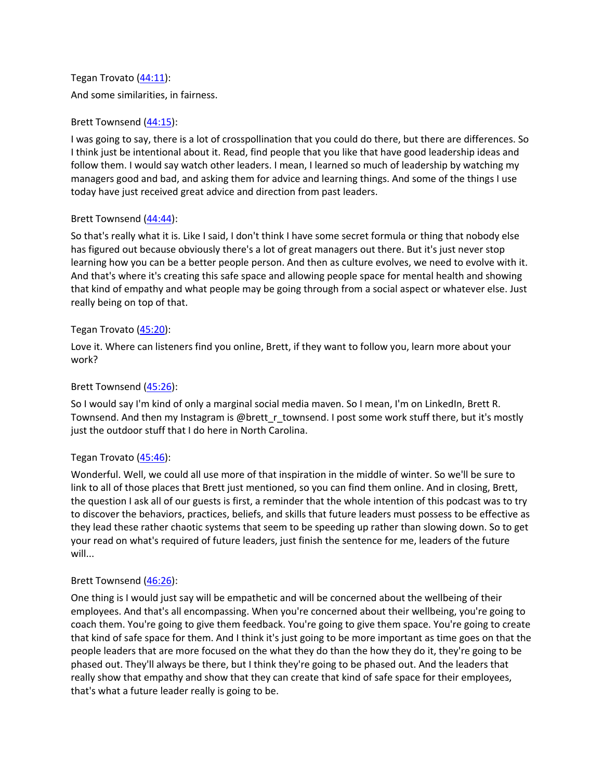Tegan Trovato (44:11): And some similarities, in fairness.

### Brett Townsend (44:15):

I was going to say, there is a lot of crosspollination that you could do there, but there are differences. So I think just be intentional about it. Read, find people that you like that have good leadership ideas and follow them. I would say watch other leaders. I mean, I learned so much of leadership by watching my managers good and bad, and asking them for advice and learning things. And some of the things I use today have just received great advice and direction from past leaders.

### Brett Townsend (44:44):

So that's really what it is. Like I said, I don't think I have some secret formula or thing that nobody else has figured out because obviously there's a lot of great managers out there. But it's just never stop learning how you can be a better people person. And then as culture evolves, we need to evolve with it. And that's where it's creating this safe space and allowing people space for mental health and showing that kind of empathy and what people may be going through from a social aspect or whatever else. Just really being on top of that.

## Tegan Trovato (45:20):

Love it. Where can listeners find you online, Brett, if they want to follow you, learn more about your work?

## Brett Townsend (45:26):

So I would say I'm kind of only a marginal social media maven. So I mean, I'm on LinkedIn, Brett R. Townsend. And then my Instagram is @brett\_r\_townsend. I post some work stuff there, but it's mostly just the outdoor stuff that I do here in North Carolina.

### Tegan Trovato (45:46):

Wonderful. Well, we could all use more of that inspiration in the middle of winter. So we'll be sure to link to all of those places that Brett just mentioned, so you can find them online. And in closing, Brett, the question I ask all of our guests is first, a reminder that the whole intention of this podcast was to try to discover the behaviors, practices, beliefs, and skills that future leaders must possess to be effective as they lead these rather chaotic systems that seem to be speeding up rather than slowing down. So to get your read on what's required of future leaders, just finish the sentence for me, leaders of the future will...

### Brett Townsend (46:26):

One thing is I would just say will be empathetic and will be concerned about the wellbeing of their employees. And that's all encompassing. When you're concerned about their wellbeing, you're going to coach them. You're going to give them feedback. You're going to give them space. You're going to create that kind of safe space for them. And I think it's just going to be more important as time goes on that the people leaders that are more focused on the what they do than the how they do it, they're going to be phased out. They'll always be there, but I think they're going to be phased out. And the leaders that really show that empathy and show that they can create that kind of safe space for their employees, that's what a future leader really is going to be.